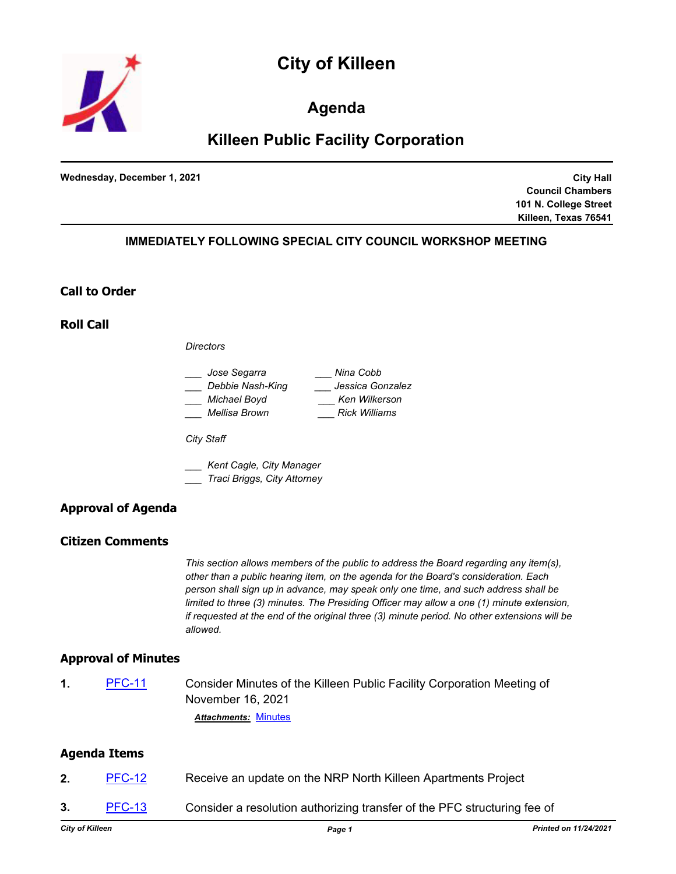



## **Agenda**

# **Killeen Public Facility Corporation**

**Wednesday, December 1, 2021**

**City Hall Council Chambers 101 N. College Street Killeen, Texas 76541**

## **IMMEDIATELY FOLLOWING SPECIAL CITY COUNCIL WORKSHOP MEETING**

## **Call to Order**

**Roll Call**

*Directors*

| Jose Segarra     | Nina Cobb            |
|------------------|----------------------|
| Debbie Nash-King | Jessica Gonzalez     |
| Michael Boyd     | Ken Wilkerson        |
| Mellisa Brown    | <b>Rick Williams</b> |

*City Staff*

*\_\_\_ Kent Cagle, City Manager \_\_\_ Traci Briggs, City Attorney*

## **Approval of Agenda**

## **Citizen Comments**

*This section allows members of the public to address the Board regarding any item(s), other than a public hearing item, on the agenda for the Board's consideration. Each person shall sign up in advance, may speak only one time, and such address shall be limited to three (3) minutes. The Presiding Officer may allow a one (1) minute extension, if requested at the end of the original three (3) minute period. No other extensions will be allowed.*

#### **Approval of Minutes**

**1.** [PFC-11](http://killeen.legistar.com/gateway.aspx?m=l&id=/matter.aspx?key=5832) Consider Minutes of the Killeen Public Facility Corporation Meeting of November 16, 2021 *Attachments:* [Minutes](http://killeen.legistar.com/gateway.aspx?M=F&ID=c0aa35a5-0e48-4924-b1f8-647468d9f7ee.pdf)

#### **Agenda Items**

- **2.** [PFC-12](http://killeen.legistar.com/gateway.aspx?m=l&id=/matter.aspx?key=5833) Receive an update on the NRP North Killeen Apartments Project
- **3.** [PFC-13](http://killeen.legistar.com/gateway.aspx?m=l&id=/matter.aspx?key=5834) Consider a resolution authorizing transfer of the PFC structuring fee of